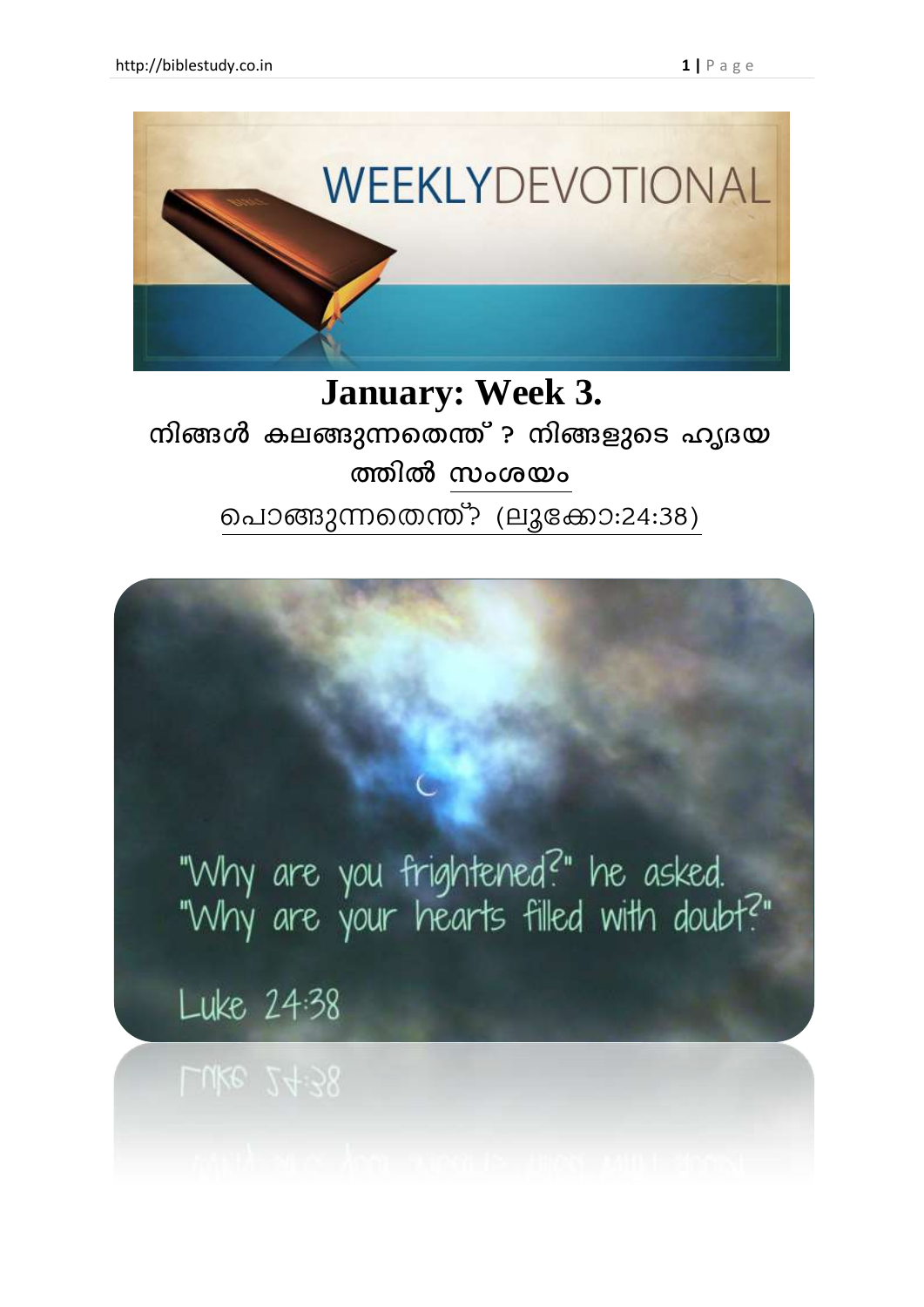

## **January: Week 3.** നിങ്ങൾ കലങ്ങുന്നതെന്ത് ? നിങ്ങളുടെ ഹൃദയ ത്തിൽ സംശയം ചൊങ്ങുന്നതെന്ത്? (ലൂക്കോ:24:38)

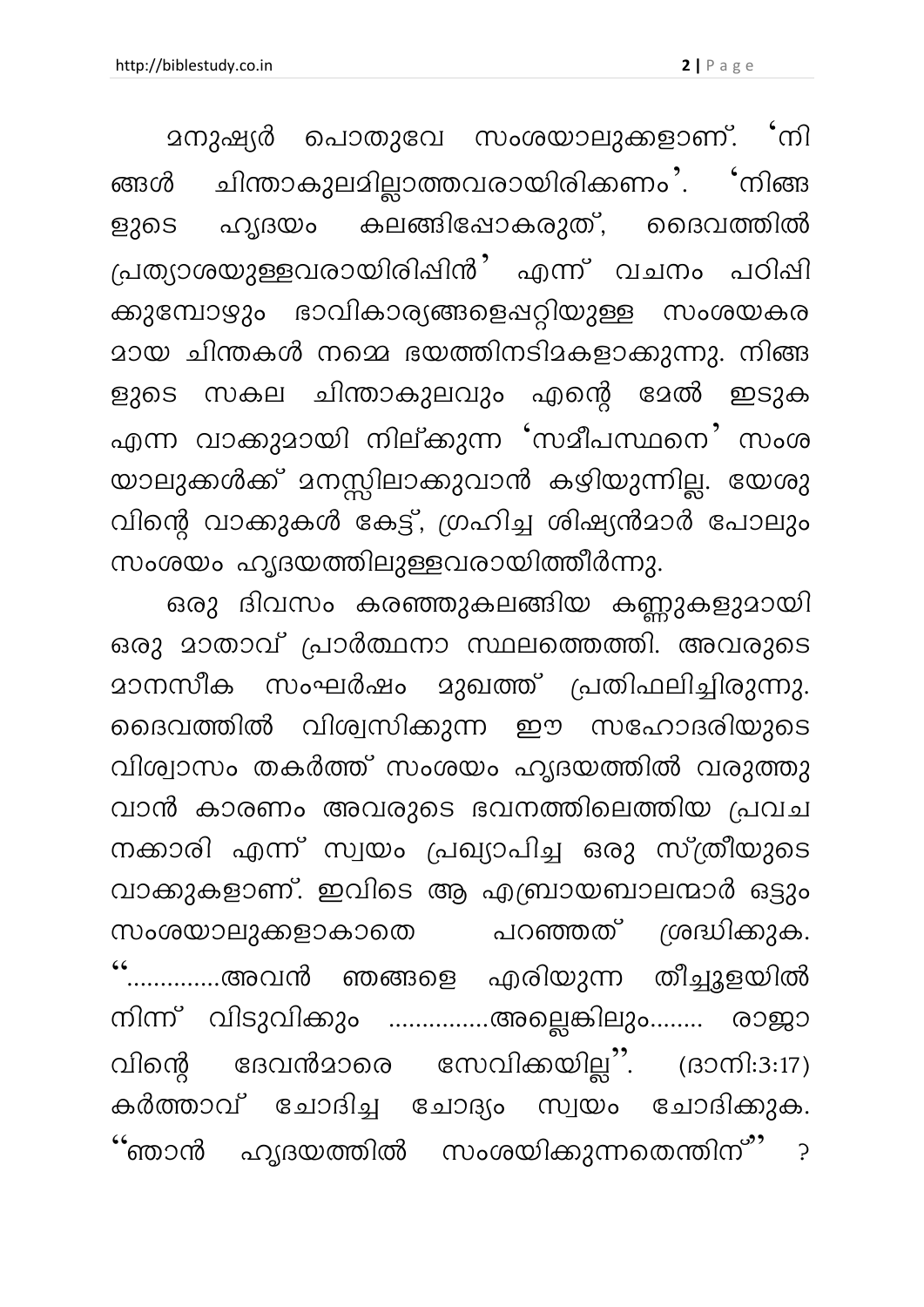മനുഷ്യർ പൊതുവേ സംശയാലുക്കളാണ്. 'നി ങ്ങൾ ചിന്താകുലമില്ലാത്തവരായിരിക്കണം'. 'നിങ്ങ ളുടെ ഹൃദയം കലങ്ങിഷോകരുത്, ദൈവത്തിൽ പ്രത്യാശയുള്ളവരായിരിഷിൻ' എന്ന് വചനം പഠിഷി ക്കുമ്പോഴും ഭാവികാര്യങ്ങളെപ്പറ്റിയുള്ള സംശയകര മായ ചിന്തകൾ നമ്മെ ഭയത്തിനടിമകളാക്കുന്നു. നിങ്ങ എന്ന വാകുദായി നില്കുന്ന 'സമീപസ്ഥനെ' സംശ യാലുക്കൾക്ക് മനസ്സിലാകുവാൻ കഴിയുന്നില്ല. യേശു വിന്റെ വാക്കുകൾ കേട്ട്, ഗ്രഹിച്ച ശിഷ്യൻമാർ പോലും സംശയം ഹൃദയത്തിലുള്ളവരായിത്തീർന്നു.

ഒരു ദിവസം കരഞ്ഞുകലങ്ങിയ കണ്ണുകളുമായി ഒരു മാതാവ് പ്രാർത്ഥനാ സ്ഥലത്തെത്തി. അവരുടെ മാനസീക സംഘർഷം മുഖത്ത് പ്രതിഫലിച്ചിരുന്നു. ദൈവത്തിൽ വിശ്വസിക്കുന്ന ഈ സഹോദരിയുടെ വിശ്വാസം തകർത്ത് സംശയം ഹൃദയത്തിൽ വരുത്തു വാൻ കാരണം അവരുടെ ഭവനത്തിലെത്തിയ പ്രവച നക്കാരി എന്ന് സ്വയം പ്രഖ്യാപിച്ച ഒരു സ്ത്രീയുടെ വാക്കുകളാണ്. ഇവിടെ ആ എബ്രായബാലന്മാർ ഒട്ടും പറഞ്ഞത് ശ്രദ്ധിക്കുക. സംശയാലുക്കളാകാതെ "…………അവൻ ഞങ്ങളെ എരിയുന്ന തീച്ചൂളയിൽ നിന്ന് വിടുവികും ..............അല്ലെങ്കിലും........ രാജാ ദേവൻമാരെ സേവികയില്ല". (ദാനി:3:17) വിന്റെ കർത്താവ് ചോദിച്ച ചോദ്യം സ്വയം ചോദിക്കുക. **'**'ഞാൻ ഹൃദയത്തിൽ സംശയിക്കുന്നതെന്തിന്''  $\cdot$  ?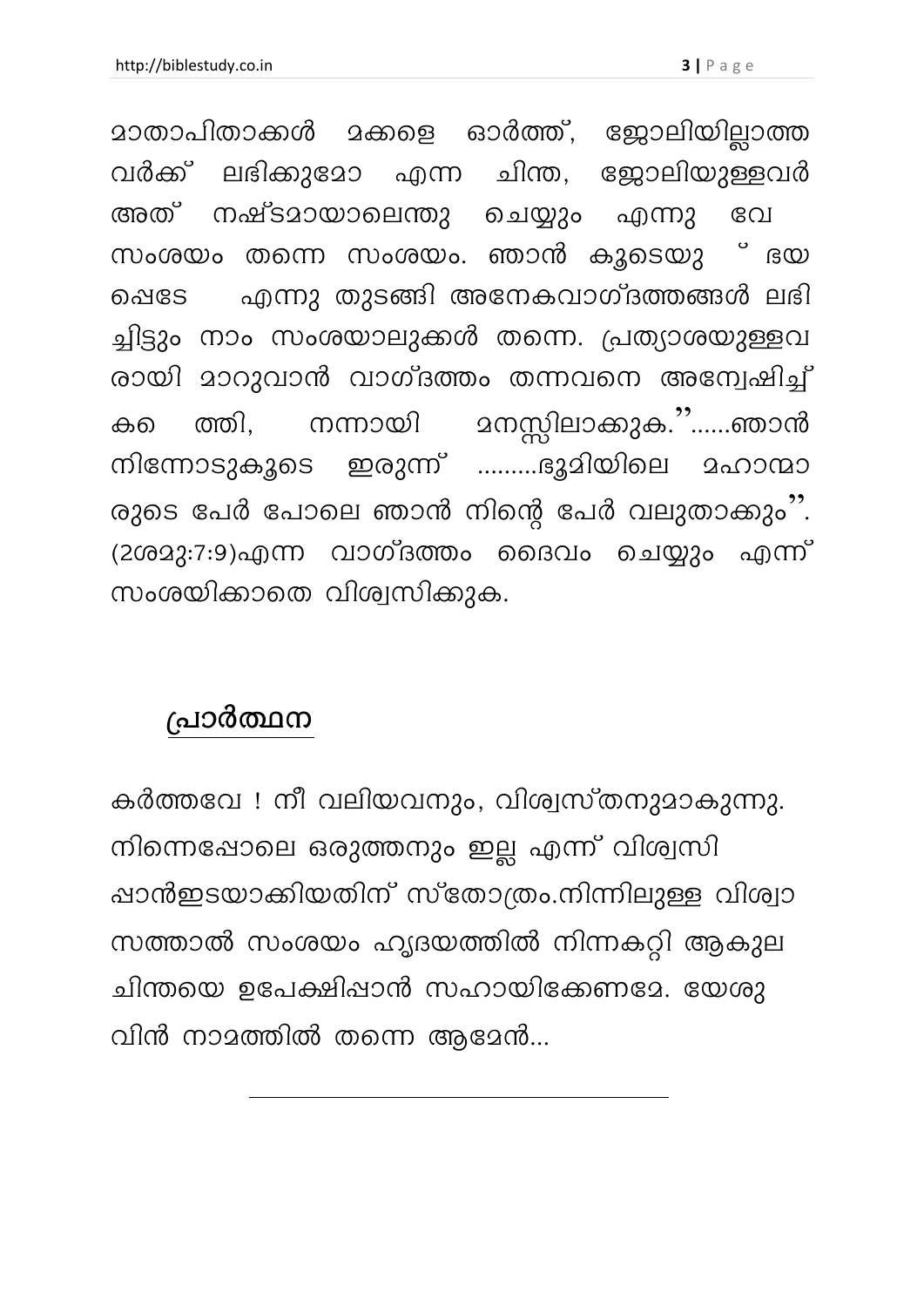<u> മാതാപിതാക്കൾ മക്കളെ ഓർത്ത്, ജോലിയില്ലാത്ത</u> വർക്ക് ലഭിക്കുദോ എന്ന ചിന്ത, ജോലിയുള്ളവർ നഷ്ടമായാലെന്തു ചെയ്യും അത് എന്നു  $C<sub>1</sub>$ സംശയം തന്നെ സംശയം. ഞാൻ കൂടെയു ് ഭയ എന്നു തുടങ്ങി അനേകവാഗ്ദത്തങ്ങൾ ലഭി ഷെടേ ച്ചിട്ടും നാം സംശയാലുക്കൾ തന്നെ. പ്രത്യാശയുള്ളവ രായി മാറുവാൻ വാഗ്ദത്തം തന്നവനെ അന്വേഷിച്ച് നന്നായി മനസ്സിലാകുക."......ഞാൻ ത്തി. കലെ നിന്നോടുകൂടെ ഇരുന്ന് .........ഭൂമിയിലെ മഹാന്മാ രുടെ പേർ പോലെ ഞാൻ നിന്റെ പേർ വലുതാക്കും". (2ശമു:7:9)എന്ന വാഗ്ദത്തം ദൈവം ചെയ്യും എന്ന് സംശയിക്കാതെ വിശ്വസിക്കുക.

## പ്രാർത്ഥന

കർത്തവേ ! നീ വലിയവനും, വിശ്വസ്തനുമാകുന്നു. നിന്നെഷോലെ ഒരുത്തനും ഇല്ല എന്ന് വിശ്വസി ഷാൻഇടയാക്കിയതിന് സ്തോത്രം.നിന്നിലുള്ള വിശ്വാ സത്താൽ സംശയം ഹൃദയത്തിൽ നിന്നകറ്റി ആകുല ചിന്തയെ ഉപേക്ഷിപ്പാൻ സഹായിക്കേണമേ. യേശു വിൻ നാമത്തിൽ തന്നെ ആമേൻ...